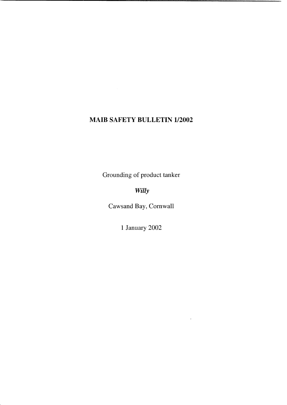# **MAIB SAFETY BULLETIN 1/2002**

Grounding of product tanker

*Willy* 

Cawsand Bay, Cornwall

1 January 2002

 $\sim$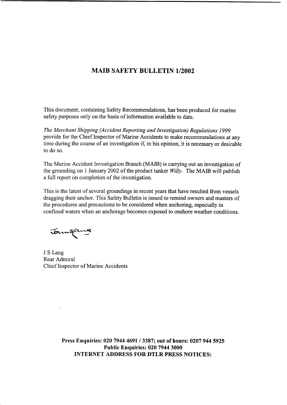### **MAIB SAFETY BULLETIN 1/2002**

This document, containing Safety Recommendations, has been produced for marine safety purposes only on the basis of information available to date.

*The Merchant Shipping (Accident Reporting and Investigation) Regulations I999*  provide for the Chief Inspector of Marine Accidents to make recommendations at any time during the course of an investigation if, in his opinion, it is necessary or desirable to do so.

The Marine Accident Investigation Branch (MAIB) is carrying out an investigation of the grounding on 1 January 2002 of the product tanker  $Willv$ . The MAIB will publish a full report on completion of the investigation.

This is the latest of several groundings in recent years that have resulted from vessels dragging their anchor. This Safety Bulletin is issued to remind owners and masters of the procedures and precautions to be considered when anchoring, especially in confined waters when **an** anchorage becomes exposed to onshore weather conditions.

Journal

 $\bar{z}$ 

J **S** Lang Rear Admiral Chief Inspector of Marine Accidents

**Press Enquiries: 020 7944 4691** / **3387; out of hours: 0207 944 5925 Public Enquiries: 020 7944 3000 INTERNET ADDRESS FOR DTLR PRESS NOTICES:**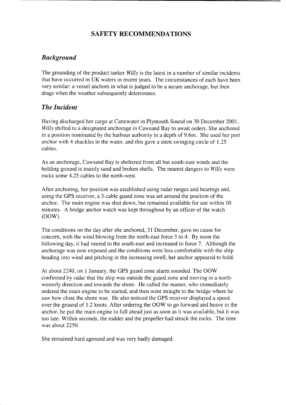## **SAFETY RECOMMENDATIONS**

### *Background*

The grounding of the product tanker Willy is the latest in a number of similar incidents that have occurred in UK waters in recent years. The circumstances of each have been very similar: a vessel anchors in what is judged to be a secure anchorage, but then drags when the weather subsequently deteriorates.

### *The Incident*

Having discharged her cargo at Cattewater in Plymouth Sound on 30 December 2001, Willy shifted to a designated anchorage in Cawsand Bay to await orders. She anchored in a position nominated by the harbour authority in a depth of 9.6m. She used her port anchor with 4 shackles in the water, and this gave a stern swinging circle of 1.25 cables.

As an anchorage, Cawsand Bay is sheltered from all but south-east winds and the holding ground is mainly sand and broken shells. The nearest dangers to Willy were rocks some 4.25 cables to the north-west.

After anchoring, her position was established using radar ranges and bearings and, using the GPS receiver, a 3-cable guard zone was set around the position of the anchor. The main engine was shut down, but remained available for use within 10 minutes. A bridge anchor watch was kept throughout by an officer of the watch (OOW).

The conditions on the day after she anchored, 31 December, gave no cause for concern, with the wind blowing from the north-east force 3 to 4. By noon the following day, it had veered to the south-east and increased to force 7. Although the anchorage was now exposed and the conditions were less comfortable with the ship heading into wind and pitching in the increasing swell, her anchor appeared to hold.

At about 2240, on 1 January, the GPS guard zone alarm sounded. The OOW confirmed by radar that the ship was outside the guard zone and moving in a northwesterly direction and towards the shore. He called the master, who immediately ordered the main engine to be started, and then went straight to the bridge where he saw how close the shore was. He also noticed the GPS receiver displayed a speed over the ground of 1.2 knots. After ordering the OOW to go forward and heave in the anchor, he put the main engine to full ahead just as soon as it was available, but it was too late. Within seconds, the rudder and the propeller had struck the rocks. The time was about 2250.

She remained hard aground and was very badly damaged.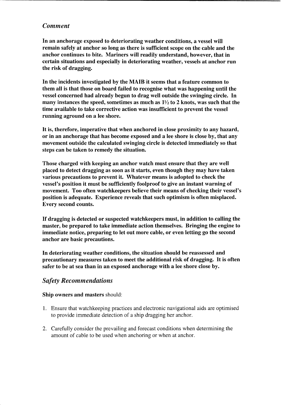#### *Comment*

In an anchorage exposed to deteriorating weather conditions, a vessel will remain safely at anchor so long as there is sufficient scope on the cable and the anchor continues to bite. Mariners will readily understand, however, that in certain situations and especially in deteriorating weather, vessels at anchor run the risk of dragging.

In the incidents investigated by the MAIB it seems that a feature common to them all is that those on board failed to recognise what was happening until the vessel concerned had already begun to drag well outside the swinging circle. In many instances the speed, sometimes as much as  $1\frac{1}{2}$  to 2 knots, was such that the time available to take corrective action was insufficient to prevent the vessel running aground on a lee shore.

It is, therefore, imperative that when anchored in close proximity to any hazard, or in an anchorage that has become exposed and a lee shore is close by, that any movement outside the calculated swinging circle is detected immediately so that steps can be taken to remedy the situation.

Those charged with keeping an anchor watch must ensure that they are well placed to detect dragging as soon as it starts, even though they may have taken various precautions to prevent it. Whatever means is adopted to check the vessel's position it must be sufficiently foolproof to give an instant warning of movement. Too often watchkeepers believe their means of checking their vessel's position is adequate. Experience reveals that such optimism is often misplaced. Every second counts.

If dragging is detected or suspected watchkeepers must, in addition to calling the master, be prepared to take immediate action themselves. Bringing the engine to immediate notice, preparing to let out more cable, or even letting go the second anchor are basic precautions.

In deteriorating weather conditions, the situation should be reassessed and precautionary measures taken to meet the additional risk of dragging. It is often safer to be at sea than in an exposed anchorage with a lee shore close by.

### *Safety Recommendations*

#### Ship owners and masters should:

- 1. Ensure that watchkeeping practices and electronic navigational aids are optimised to provide immediate detection of a ship dragging her anchor.
- 2. Carefully consider the prevailing and forecast conditions when determining the amount of cable to be used when anchoring or when at anchor.